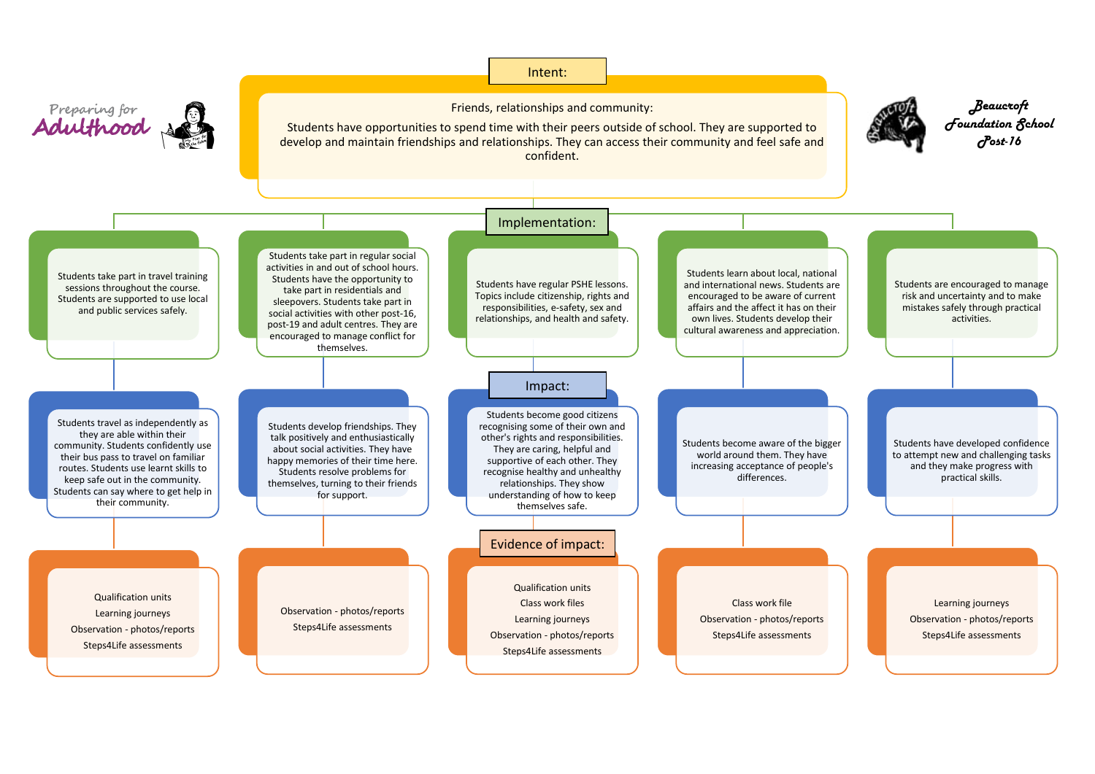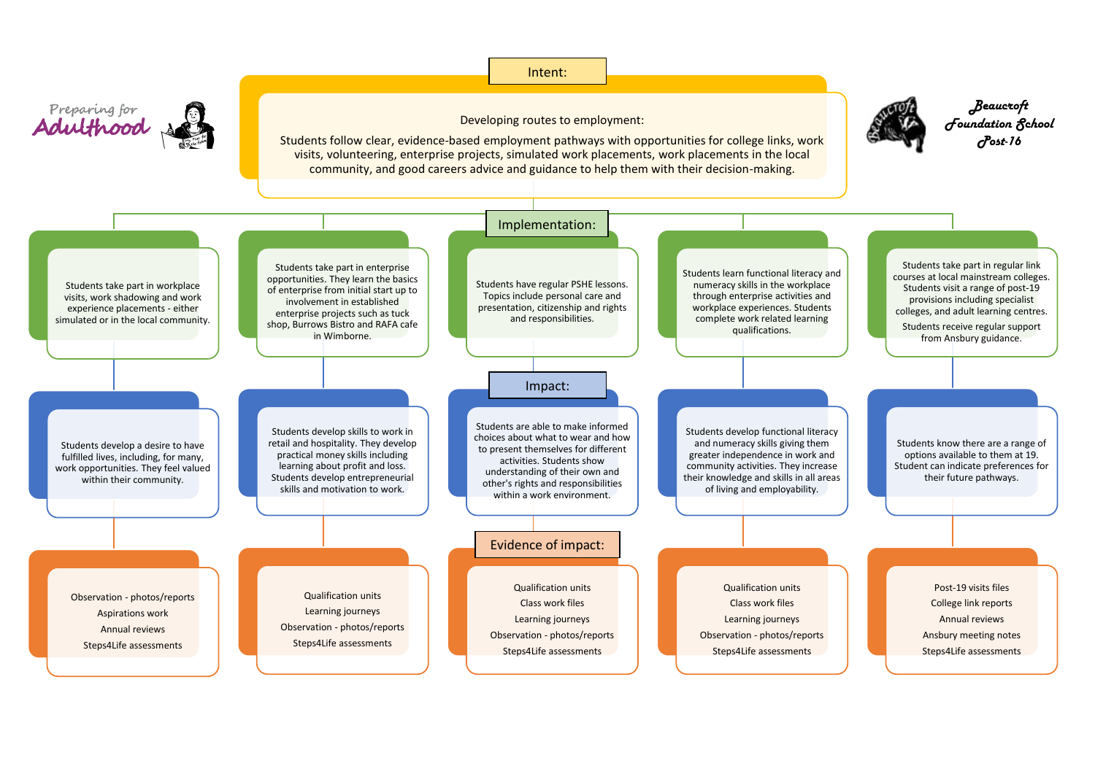## Intent:



## Developing routes to employment:

*Beaucroft Foundation School Post-16*

Students follow clear, evidence-based employment pathways with opportunities for college links, work visits, volunteering, enterprise projects, simulated work placements, work placements in the local community, and good careers advice and guidance to help them with their decision-making.

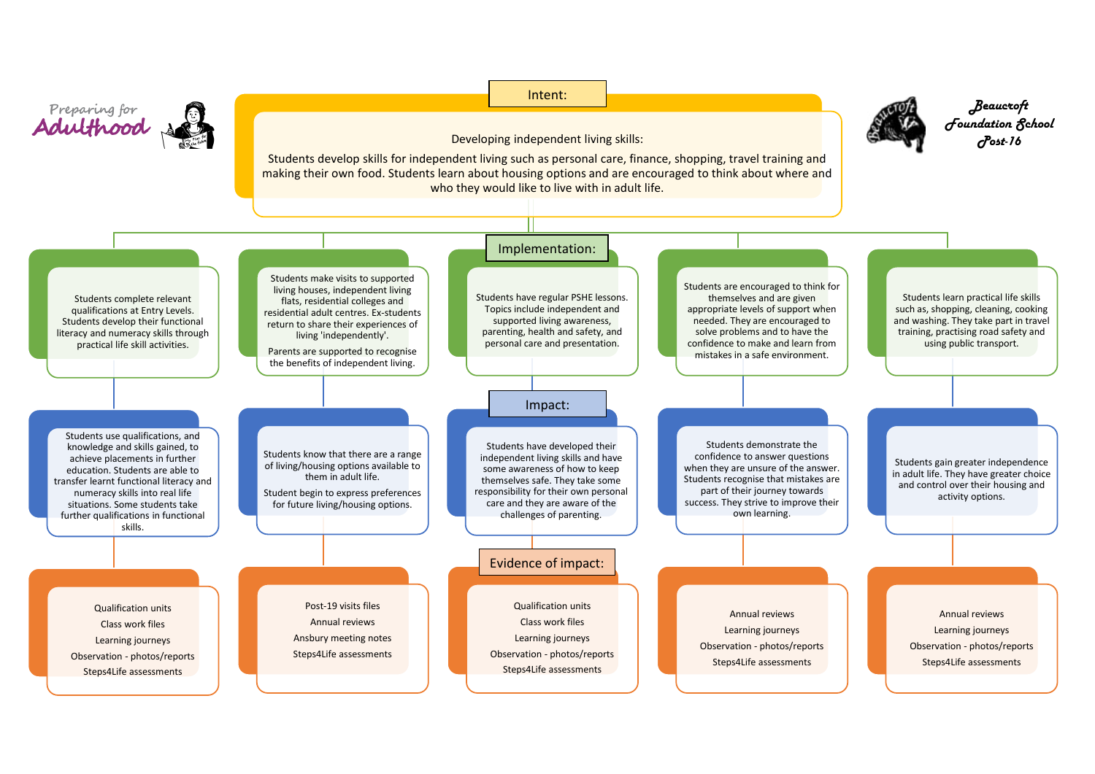